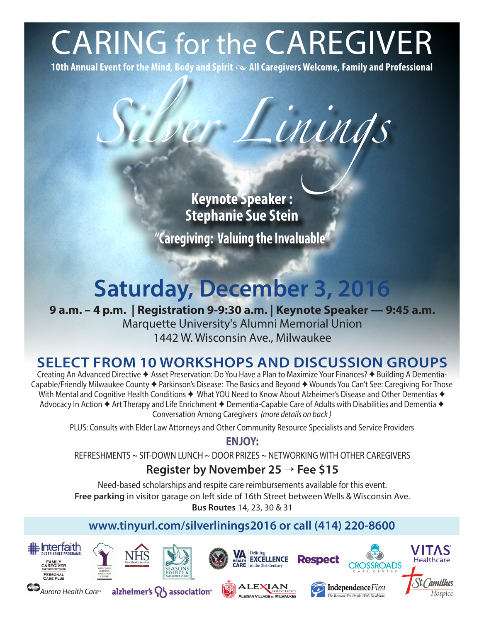# CARING for the CAREGIVER

**10th Annual Event for the Mind, Body and Spirit • All Caregivers Welcome, Family and Professional**

*Silver Linings*

**Keynote Speaker : Stephanie Sue Stein "Caregiving: Valuing the Invaluable"**

# **Saturday, December 3, 2016**

**9 a.m. – 4 p.m. | Registration 9-9:30 a.m. | Keynote Speaker — 9:45 a.m.**  Marquette University's Alumni Memorial Union 1442 W. Wisconsin Ave., Milwaukee

# **SELECT FROM 10 WORKSHOPS AND DISCUSSION GROUPS**

Creating An Advanced Directive ✦ Asset Preservation: Do You Have a Plan to Maximize Your Finances? ✦ Building A Dementia-Capable/Friendly Milwaukee County ✦ Parkinson's Disease: The Basics and Beyond ✦ Wounds You Can't See: Caregiving For Those With Mental and Cognitive Health Conditions ♦ What YOU Need to Know About Alzheimer's Disease and Other Dementias ♦ Advocacy In Action ✦ Art Therapy and Life Enrichment ✦ Dementia-Capable Care of Adults with Disabilities and Dementia ✦ Conversation Among Caregivers *(more details on back )*

PLUS: Consults with Elder Law Attorneys and Other Community Resource Specialists and Service Providers

**ENJOY:** 

REFRESHMENTS ~ SIT-DOWN LUNCH ~ DOOR PRIZES ~ NETWORKING WITH OTHER CAREGIVERS

# **Register by November 25** → **Fee \$15**

Need-based scholarships and respite care reimbursements available for this event. **Free parking** in visitor garage on left side of 16th Street between Wells & Wisconsin Ave. **Bus Routes** 14, 23, 30 & 31

# **www.tinyurl.com/silverlinings2016 or call (414) 220-8600**



**CO** Aurora Health Care<sup>®</sup>





alzheimer's  $\{ \}$  association



**ALEXIAN** 

ALEXIAN VILLAGE OF MILWAUKEE



The Resource For People With Disabilities

Hospice